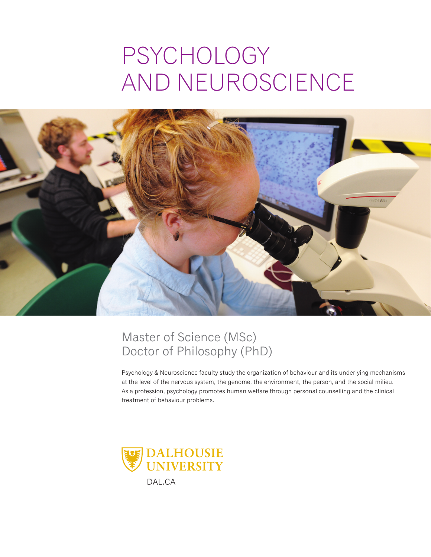# psychology and neuroscience



### Master of Science (MSc) Doctor of Philosophy (PhD)

Psychology & Neuroscience faculty study the organization of behaviour and its underlying mechanisms at the level of the nervous system, the genome, the environment, the person, and the social milieu. As a profession, psychology promotes human welfare through personal counselling and the clinical treatment of behaviour problems.